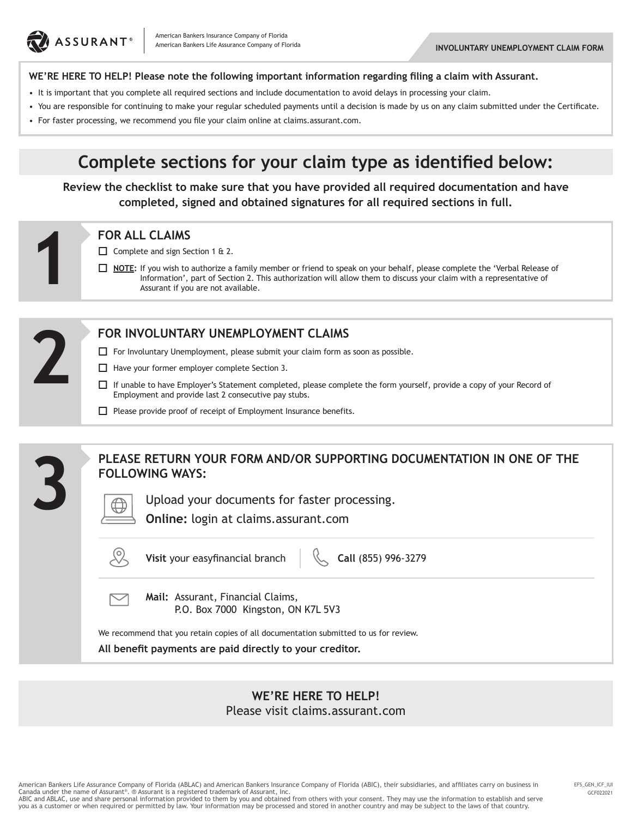

### **WE'RE HERE TO HELP! Please note the following important information regarding filing a claim with Assurant.**

- It is important that you complete all required sections and include documentation to avoid delays in processing your claim.
- You are responsible for continuing to make your regular scheduled payments until a decision is made by us on any claim submitted under the Certificate.
- For faster processing, we recommend you file your claim online at claims.assurant.com.

# **Complete sections for your claim type as identified below:**

**Review the checklist to make sure that you have provided all required documentation and have completed, signed and obtained signatures for all required sections in full.**

Complete and sign Section 1 & 2.

**NOTE**: If you wish to authorize a family member or friend to speak on your behalf, please complete the 'Verbal Release of Information', part of Section 2. This authorization will allow them to discuss your claim with a representative of Assurant if you are not available. **FOR ALL CLAIMS**<br>  $\Box$  Complete and sign Se<br>  $\Box$  <u>NOTE</u>: If you wish to<br>
Information',<br>
Assurant if you



**3**

### **FOR INVOLUNTARY UNEMPLOYMENT CLAIMS**

- $\Box$  For Involuntary Unemployment, please submit your claim form as soon as possible.
- $\Box$  Have your former employer complete Section 3.
- If unable to have Employer's Statement completed, please complete the form yourself, provide a copy of your Record of Employment and provide last 2 consecutive pay stubs.
- $\Box$  Please provide proof of receipt of Employment Insurance benefits.

### **PLEASE RETURN YOUR FORM AND/OR SUPPORTING DOCUMENTATION IN ONE OF THE FOLLOWING WAYS:**

Upload your documents for faster processing.

**Online:** login at claims.assurant.com



**Visit** your easyfinancial branch  $\left\{\begin{matrix} 1 & 0 \\ 0 & 0 \end{matrix}\right\}$  Call (855) 996-3279

 $\boxtimes$ 

**Mail:** Assurant, Financial Claims, P.O. Box 7000 Kingston, ON K7L 5V3

We recommend that you retain copies of all documentation submitted to us for review.

**All benefit payments are paid directly to your creditor.**

## **WE'RE HERE TO HELP!**

Please visit claims.assurant.com

American Bankers Life Assurance Company of Florida (ABLAC) and American Bankers Insurance Company of Florida (ABIC), their subsidiaries, and affiliates carry on business in Canada under the name of Assurant®. ® Assurant is a registered trademark of Assurant, Inc.

ABIC and ABLAC, use and share personal information provided to them by you and obtained from others with your consent. They may use the information to establish and serve you as a customer or when required or permitted by law. Your information may be processed and stored in another country and may be subject to the laws of that country.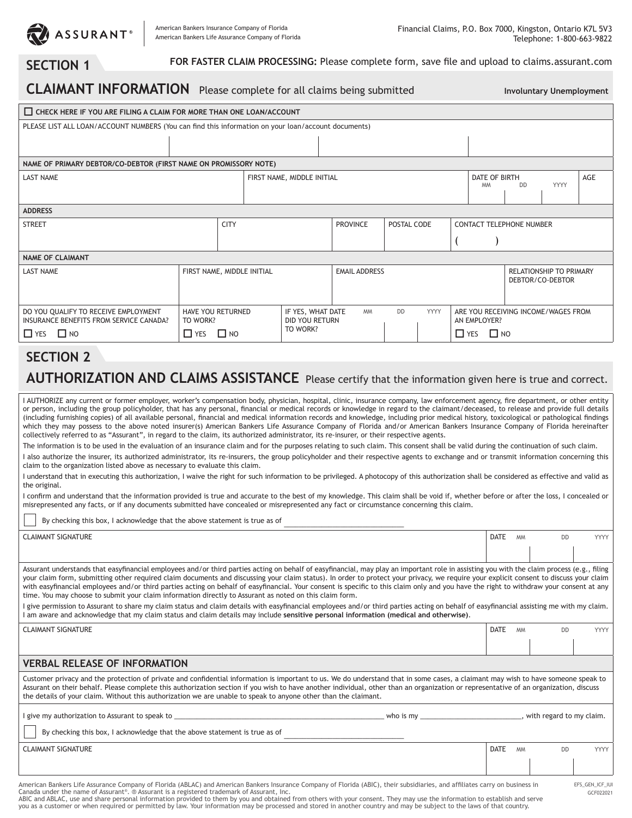

AN EMPLOYER?  $\Box$  YES  $\Box$  NO

**SECTION 1** FOR FASTER CLAIM PROCESSING: Please complete form, save file and upload to claims.assurant.com

| <b>CLAIMANT INFORMATION</b> Please complete for all claims being submitted                          |                                                                                                                        |             |  |                            |                 |             |                                                    | <b>Involuntary Unemployment</b> |                                 |             |     |
|-----------------------------------------------------------------------------------------------------|------------------------------------------------------------------------------------------------------------------------|-------------|--|----------------------------|-----------------|-------------|----------------------------------------------------|---------------------------------|---------------------------------|-------------|-----|
| CHECK HERE IF YOU ARE FILING A CLAIM FOR MORE THAN ONE LOAN/ACCOUNT                                 |                                                                                                                        |             |  |                            |                 |             |                                                    |                                 |                                 |             |     |
| PLEASE LIST ALL LOAN/ACCOUNT NUMBERS (You can find this information on your loan/account documents) |                                                                                                                        |             |  |                            |                 |             |                                                    |                                 |                                 |             |     |
|                                                                                                     |                                                                                                                        |             |  |                            |                 |             |                                                    |                                 |                                 |             |     |
| NAME OF PRIMARY DEBTOR/CO-DEBTOR (FIRST NAME ON PROMISSORY NOTE)                                    |                                                                                                                        |             |  |                            |                 |             |                                                    |                                 |                                 |             |     |
| <b>LAST NAME</b>                                                                                    |                                                                                                                        |             |  | FIRST NAME, MIDDLE INITIAL |                 |             |                                                    | DATE OF BIRTH<br><b>MM</b>      | <b>DD</b>                       | <b>YYYY</b> | AGE |
| <b>ADDRESS</b>                                                                                      |                                                                                                                        |             |  |                            |                 |             |                                                    |                                 |                                 |             |     |
| <b>STREET</b>                                                                                       |                                                                                                                        | <b>CITY</b> |  |                            | <b>PROVINCE</b> | POSTAL CODE |                                                    |                                 | <b>CONTACT TELEPHONE NUMBER</b> |             |     |
|                                                                                                     |                                                                                                                        |             |  |                            |                 |             |                                                    |                                 |                                 |             |     |
| <b>NAME OF CLAIMANT</b>                                                                             |                                                                                                                        |             |  |                            |                 |             |                                                    |                                 |                                 |             |     |
| <b>LAST NAME</b>                                                                                    | FIRST NAME, MIDDLE INITIAL                                                                                             |             |  | <b>EMAIL ADDRESS</b>       |                 |             | <b>RELATIONSHIP TO PRIMARY</b><br>DEBTOR/CO-DEBTOR |                                 |                                 |             |     |
| DO YOU OUALIFY TO RECEIVE EMPLOYMENT                                                                | YYYY<br>IF YES. WHAT DATE<br><b>DD</b><br><b>HAVE YOU RETURNED</b><br><b>MM</b><br>ARE YOU RECEIVING INCOME/WAGES FROM |             |  |                            |                 |             |                                                    |                                 |                                 |             |     |

# **SECTION 2**

 $\Box$  YES  $\Box$  NO

INSURANCE BENEFITS FROM SERVICE CANADA?

## **AUTHORIZATION AND CLAIMS ASSISTANCE** Please certify that the information given here is true and correct.

DID YOU RETURN TO WORK?

I AUTHORIZE any current or former employer, worker's compensation body, physician, hospital, clinic, insurance company, law enforcement agency, fire department, or other entity or person, including the group policyholder, that has any personal, financial or medical records or knowledge in regard to the claimant/deceased, to release and provide full details (including furnishing copies) of all available personal, financial and medical information records and knowledge, including prior medical history, toxicological or pathological findings which they may possess to the above noted insurer(s) American Bankers Life Assurance Company of Florida and/or American Bankers Insurance Company of Florida hereinafter collectively referred to as "Assurant", in regard to the claim, its authorized administrator, its re-insurer, or their respective agents.

The information is to be used in the evaluation of an insurance claim and for the purposes relating to such claim. This consent shall be valid during the continuation of such claim.

I also authorize the insurer, its authorized administrator, its re-insurers, the group policyholder and their respective agents to exchange and or transmit information concerning this claim to the organization listed above as necessary to evaluate this claim.

I understand that in executing this authorization, I waive the right for such information to be privileged. A photocopy of this authorization shall be considered as effective and valid as the original.

I confirm and understand that the information provided is true and accurate to the best of my knowledge. This claim shall be void if, whether before or after the loss, I concealed or misrepresented any facts, or if any documents submitted have concealed or misrepresented any fact or circumstance concerning this claim.

By checking this box, I acknowledge that the above statement is true as of

TO WORK?  $\Box$  YES  $\Box$  NO

| <b>CLAIMANT SIGNATURE</b> | <b>DATE</b> | <b>MM</b> | DD | ww |
|---------------------------|-------------|-----------|----|----|
|                           |             |           |    |    |

Assurant understands that easyfinancial employees and/or third parties acting on behalf of easyfinancial, may play an important role in assisting you with the claim process (e.g., filing your claim form, submitting other required claim documents and discussing your claim status). In order to protect your privacy, we require your explicit consent to discuss your claim with easyfinancial employees and/or third parties acting on behalf of easyfinancial. Your consent is specific to this claim only and you have the right to withdraw your consent at any time. You may choose to submit your claim information directly to Assurant as noted on this claim form.

I give permission to Assurant to share my claim status and claim details with easyfinancial employees and/or third parties acting on behalf of easyfinancial assisting me with my claim. I am aware and acknowledge that my claim status and claim details may include **sensitive personal information (medical and otherwise)**.

| <b>CLAIMANT SIGNATURE</b>                                                                                                                                                                                                                                                                                                                                                                                                                                                                     | <b>DATE</b> |           |                            | <b>YYYY</b> |  |
|-----------------------------------------------------------------------------------------------------------------------------------------------------------------------------------------------------------------------------------------------------------------------------------------------------------------------------------------------------------------------------------------------------------------------------------------------------------------------------------------------|-------------|-----------|----------------------------|-------------|--|
|                                                                                                                                                                                                                                                                                                                                                                                                                                                                                               |             |           |                            |             |  |
| <b>VERBAL RELEASE OF INFORMATION</b>                                                                                                                                                                                                                                                                                                                                                                                                                                                          |             |           |                            |             |  |
| Customer privacy and the protection of private and confidential information is important to us. We do understand that in some cases, a claimant may wish to have someone speak to<br>Assurant on their behalf. Please complete this authorization section if you wish to have another individual, other than an organization or representative of an organization, discuss<br>the details of your claim. Without this authorization we are unable to speak to anyone other than the claimant. |             |           |                            |             |  |
| l give my authorization to Assurant to speak to<br>$w$ ho is my<br>By checking this box, I acknowledge that the above statement is true as of                                                                                                                                                                                                                                                                                                                                                 |             |           | , with regard to my claim. |             |  |
| <b>CLAIMANT SIGNATURE</b>                                                                                                                                                                                                                                                                                                                                                                                                                                                                     | <b>DATE</b> | <b>MM</b> |                            | <b>YYYY</b> |  |
|                                                                                                                                                                                                                                                                                                                                                                                                                                                                                               |             |           |                            |             |  |
| American Bankers Life Assurance Company of Florida (ABLAC) and American Bankers Insurance Company of Florida (ABIC), their subsidiaries, and affiliates carry on business in<br>EFS_GEN_ICF_IUI                                                                                                                                                                                                                                                                                               |             |           |                            |             |  |

American Bankers Life Assurance Company of Florida (ABLAC) and American Bankers Insurance Company of Florida (ABIC), their subsidiaries, and affiliates carry on business in<br>Canada under the name of Assurant®. ® Assurant i

GCF022021

ABIC and ABLAC, use and share personal information provided to them by you and obtained from others with your consent. They may use the information to establish and serve you as a customer or when required or permitted by law. Your information may be processed and stored in another country and may be subject to the laws of that country.